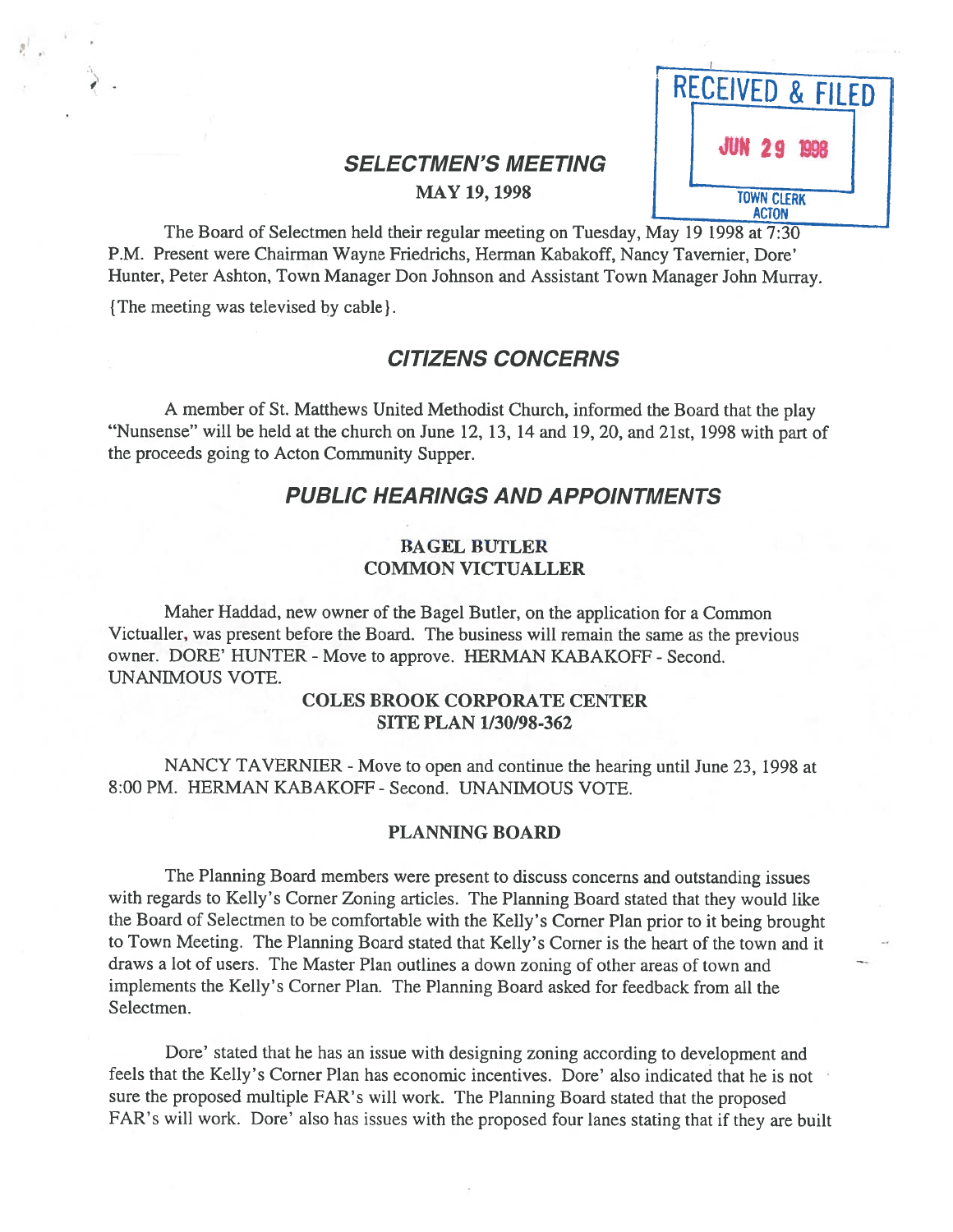# SELECTMEN'S MEETING<br>MAY 19, 1998



The Board of Selectmen held their regular meeting on Tuesday, May 19 1998 at 7:30 P.M. Present were Chairman Wayne Friedrichs, Herman Kabakoff, Nancy Tavernier, Dore' Hunter, Peter Ashton, Town Manager Don Johnson and Assistant Town Manager John Murray.

{ The meeting was televised by cable }.

## CITIZENS CONCERNS

<sup>A</sup> member of St. Matthews United Methodist Church, informed the Board that the <sup>p</sup>lay "Nunsense" will be held at the church on June 12, 13, <sup>14</sup> and 19, 20, and 21st, <sup>1998</sup> with par<sup>t</sup> of the proceeds going to Acton Community Supper.

## PUBLIC HEARINGS AND APPOINTMENTS

#### BAGEL BUTLER COMMON VICTUALLER

Maher Haddad, new owner of the Bagel Butler, on the application for <sup>a</sup> Common Victualler, was presen<sup>t</sup> before the Board. The business will remain the same as the previous owner. DORE' HUNTER - Move to approve. HERMAN KABAKOFF - Second. UNANIMOUS VOTE.

### COLES BROOK CORPORATE CENTER SITE PLAN 1/30/98-362

NANCY TAVERNIER - Move to open and continue the hearing until June 23, 1998 at 8:00 PM. HERMAN KABAKOFF - Second. UNANIMOUS VOTE.

#### PLANNING BOARD

The Planning Board members were presen<sup>t</sup> to discuss concerns and outstanding issues with regards to Kelly's Corner Zoning articles. The Planning Board stated that they would like the Board of Selectmen to be comfortable with the Kelly's Corner Plan prior to it being brought to Town Meeting. The Planning Board stated that Kelly's Corner is the heart of the town and it draws <sup>a</sup> lot of users. The Master Plan outlines <sup>a</sup> down zoning of other areas of town and implements the Kelly's Corner Plan. The Planning Board asked for feedback from all the Selectmen.

Dore' stated that he has an issue with designing zoning according to development and feels that the Kelly's Corner Plan has economic incentives. Dore' also indicated that he is not sure the propose<sup>d</sup> multiple FAR's will work. The Planning Board stated that the propose<sup>d</sup> FAR's will work. Dore' also has issues with the propose<sup>d</sup> four lanes stating that if they are built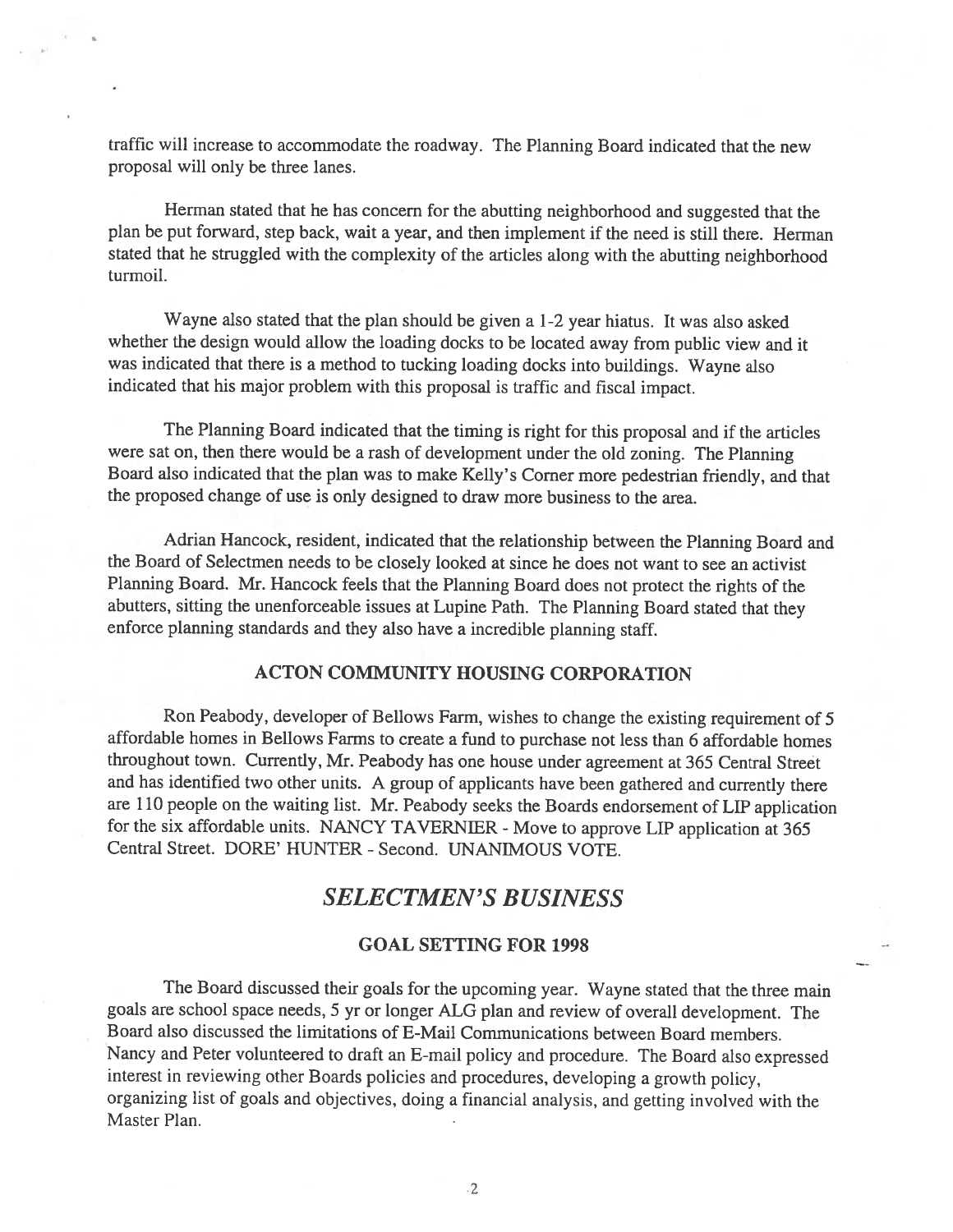traffic will increase to accommodate the roadway. The Planning Board indicated that the new proposal will only be three lanes.

Herman stated that he has concern for the abutting neighborhood and suggested that the <sup>p</sup>lan be put forward, step back, wait <sup>a</sup> year, and then implement if the need is still there. Herman stated that he struggled with the complexity of the articles along with the abutting neighborhood turmoil.

Wayne also stated that the <sup>p</sup>lan should be <sup>g</sup>iven <sup>a</sup> 1-2 year hiatus. It was also asked whether the design would allow the loading docks to be located away from public view and it was indicated that there is <sup>a</sup> method to tucking loading docks into buildings. Wayne also indicated that his major problem with this proposal is traffic and fiscal impact.

The Planning Board indicated that the timing is right for this proposal and if the articles were sat on, then there would be <sup>a</sup> rash of development under the old zoning. The Planning Board also indicated that the <sup>p</sup>lan was to make Kelly's Corner more pedestrian friendly, and that the proposed change of use is only designed to draw more business to the area.

Adrian Hancock, resident, indicated that the relationship between the Planning Board and the Board of Selectmen needs to be closely looked at since he does not want to see an activist Planning Board. Mr. Hancock feels that the Planning Board does not protect the rights of the abutters, sitting the unenforceable issues at Lupine Path. The Planning Board stated that they enforce <sup>p</sup>lanning standards and they also have <sup>a</sup> incredible <sup>p</sup>lanning staff.

#### ACTON COMMUNITY HOUSING CORPORATION

Ron Peabody, developer of Bellows Farm, wishes to change the existing requirement of <sup>5</sup> affordable homes in Bellows Farms to create <sup>a</sup> fund to purchase not less than <sup>6</sup> affordable homes throughout town. Currently, Mr. Peabody has one house under agreement at <sup>365</sup> Central Street and has identified two other units. <sup>A</sup> group of applicants have been gathered and currently there are <sup>110</sup> people on the waiting list. Mr. Peabody seeks the Boards endorsement of LIP application for the six affordable units. NANCY TAVERNIER - Move to approve LIP application at 365 Central Street. DORE' HUNTER - Second. UNANIMOUS VOTE.

## SELECTMEN'S BUSINESS

#### GOAL SETTING FOR 1998

The Board discussed their goals for the upcoming year. Wayne stated that the three main goals are school space needs, <sup>5</sup> yr or longer ALG <sup>p</sup>lan and review of overall development. The Board also discussed the limitations of E-Mail Communications between Board members. Nancy and Peter volunteered to draft an E-mail policy and procedure. The Board also expressed interest in reviewing other Boards policies and procedures, developing <sup>a</sup> growth policy, organizing list of goals and objectives, doing <sup>a</sup> financial analysis, and getting involved with the Master Plan.

2